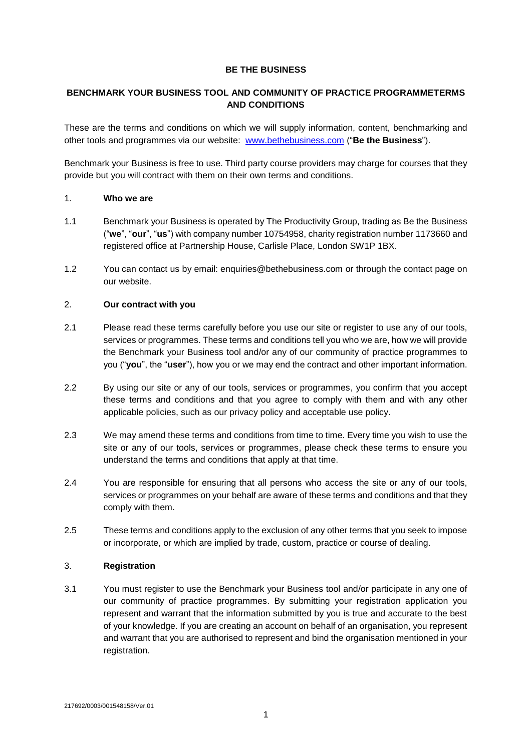## **BE THE BUSINESS**

## **BENCHMARK YOUR BUSINESS TOOL AND COMMUNITY OF PRACTICE PROGRAMMETERMS AND CONDITIONS**

These are the terms and conditions on which we will supply information, content, benchmarking and other tools and programmes via our website: [www.bethebusiness.com](http://www.bethebusiness.com/) ("**Be the Business**").

Benchmark your Business is free to use. Third party course providers may charge for courses that they provide but you will contract with them on their own terms and conditions.

## 1. **Who we are**

- 1.1 Benchmark your Business is operated by The Productivity Group, trading as Be the Business ("**we**", "**our**", "**us**") with company number 10754958, charity registration number 1173660 and registered office at Partnership House, Carlisle Place, London SW1P 1BX.
- 1.2 You can contact us by email: enquiries@bethebusiness.com or through the contact page on our website.

# 2. **Our contract with you**

- 2.1 Please read these terms carefully before you use our site or register to use any of our tools, services or programmes. These terms and conditions tell you who we are, how we will provide the Benchmark your Business tool and/or any of our community of practice programmes to you ("**you**", the "**user**"), how you or we may end the contract and other important information.
- 2.2 By using our site or any of our tools, services or programmes, you confirm that you accept these terms and conditions and that you agree to comply with them and with any other applicable policies, such as our privacy policy and acceptable use policy.
- 2.3 We may amend these terms and conditions from time to time. Every time you wish to use the site or any of our tools, services or programmes, please check these terms to ensure you understand the terms and conditions that apply at that time.
- 2.4 You are responsible for ensuring that all persons who access the site or any of our tools, services or programmes on your behalf are aware of these terms and conditions and that they comply with them.
- 2.5 These terms and conditions apply to the exclusion of any other terms that you seek to impose or incorporate, or which are implied by trade, custom, practice or course of dealing.

## 3. **Registration**

3.1 You must register to use the Benchmark your Business tool and/or participate in any one of our community of practice programmes. By submitting your registration application you represent and warrant that the information submitted by you is true and accurate to the best of your knowledge. If you are creating an account on behalf of an organisation, you represent and warrant that you are authorised to represent and bind the organisation mentioned in your registration.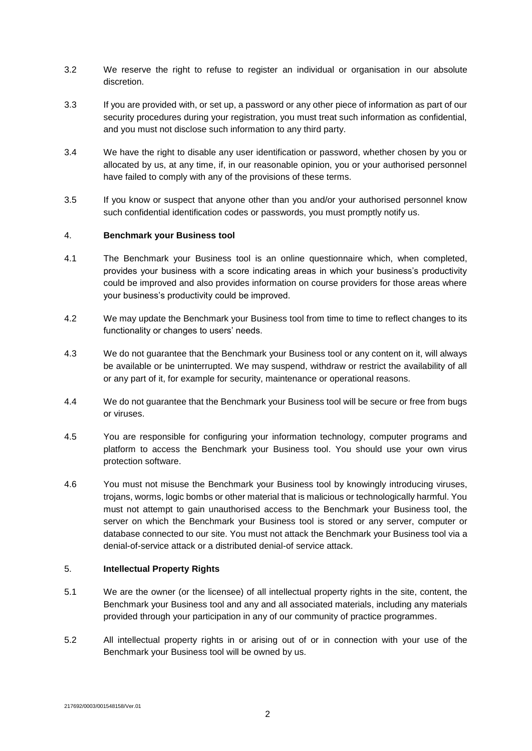- 3.2 We reserve the right to refuse to register an individual or organisation in our absolute discretion.
- 3.3 If you are provided with, or set up, a password or any other piece of information as part of our security procedures during your registration, you must treat such information as confidential, and you must not disclose such information to any third party.
- 3.4 We have the right to disable any user identification or password, whether chosen by you or allocated by us, at any time, if, in our reasonable opinion, you or your authorised personnel have failed to comply with any of the provisions of these terms.
- 3.5 If you know or suspect that anyone other than you and/or your authorised personnel know such confidential identification codes or passwords, you must promptly notify us.

## 4. **Benchmark your Business tool**

- 4.1 The Benchmark your Business tool is an online questionnaire which, when completed, provides your business with a score indicating areas in which your business's productivity could be improved and also provides information on course providers for those areas where your business's productivity could be improved.
- 4.2 We may update the Benchmark your Business tool from time to time to reflect changes to its functionality or changes to users' needs.
- 4.3 We do not guarantee that the Benchmark your Business tool or any content on it, will always be available or be uninterrupted. We may suspend, withdraw or restrict the availability of all or any part of it, for example for security, maintenance or operational reasons.
- 4.4 We do not guarantee that the Benchmark your Business tool will be secure or free from bugs or viruses.
- 4.5 You are responsible for configuring your information technology, computer programs and platform to access the Benchmark your Business tool. You should use your own virus protection software.
- 4.6 You must not misuse the Benchmark your Business tool by knowingly introducing viruses, trojans, worms, logic bombs or other material that is malicious or technologically harmful. You must not attempt to gain unauthorised access to the Benchmark your Business tool, the server on which the Benchmark your Business tool is stored or any server, computer or database connected to our site. You must not attack the Benchmark your Business tool via a denial-of-service attack or a distributed denial-of service attack.

## 5. **Intellectual Property Rights**

- 5.1 We are the owner (or the licensee) of all intellectual property rights in the site, content, the Benchmark your Business tool and any and all associated materials, including any materials provided through your participation in any of our community of practice programmes.
- 5.2 All intellectual property rights in or arising out of or in connection with your use of the Benchmark your Business tool will be owned by us.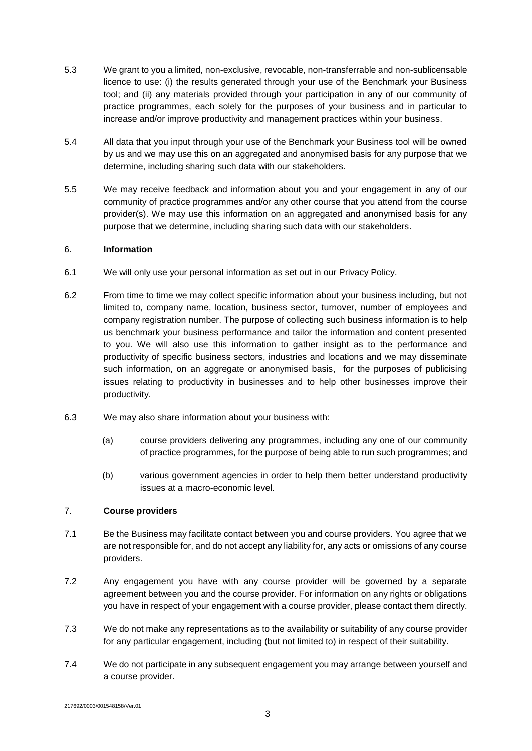- 5.3 We grant to you a limited, non-exclusive, revocable, non-transferrable and non-sublicensable licence to use: (i) the results generated through your use of the Benchmark your Business tool; and (ii) any materials provided through your participation in any of our community of practice programmes, each solely for the purposes of your business and in particular to increase and/or improve productivity and management practices within your business.
- 5.4 All data that you input through your use of the Benchmark your Business tool will be owned by us and we may use this on an aggregated and anonymised basis for any purpose that we determine, including sharing such data with our stakeholders.
- 5.5 We may receive feedback and information about you and your engagement in any of our community of practice programmes and/or any other course that you attend from the course provider(s). We may use this information on an aggregated and anonymised basis for any purpose that we determine, including sharing such data with our stakeholders.

## 6. **Information**

- 6.1 We will only use your personal information as set out in our Privacy Policy.
- 6.2 From time to time we may collect specific information about your business including, but not limited to, company name, location, business sector, turnover, number of employees and company registration number. The purpose of collecting such business information is to help us benchmark your business performance and tailor the information and content presented to you. We will also use this information to gather insight as to the performance and productivity of specific business sectors, industries and locations and we may disseminate such information, on an aggregate or anonymised basis, for the purposes of publicising issues relating to productivity in businesses and to help other businesses improve their productivity.
- 6.3 We may also share information about your business with:
	- (a) course providers delivering any programmes, including any one of our community of practice programmes, for the purpose of being able to run such programmes; and
	- (b) various government agencies in order to help them better understand productivity issues at a macro-economic level.

## 7. **Course providers**

- 7.1 Be the Business may facilitate contact between you and course providers. You agree that we are not responsible for, and do not accept any liability for, any acts or omissions of any course providers.
- 7.2 Any engagement you have with any course provider will be governed by a separate agreement between you and the course provider. For information on any rights or obligations you have in respect of your engagement with a course provider, please contact them directly.
- 7.3 We do not make any representations as to the availability or suitability of any course provider for any particular engagement, including (but not limited to) in respect of their suitability.
- 7.4 We do not participate in any subsequent engagement you may arrange between yourself and a course provider.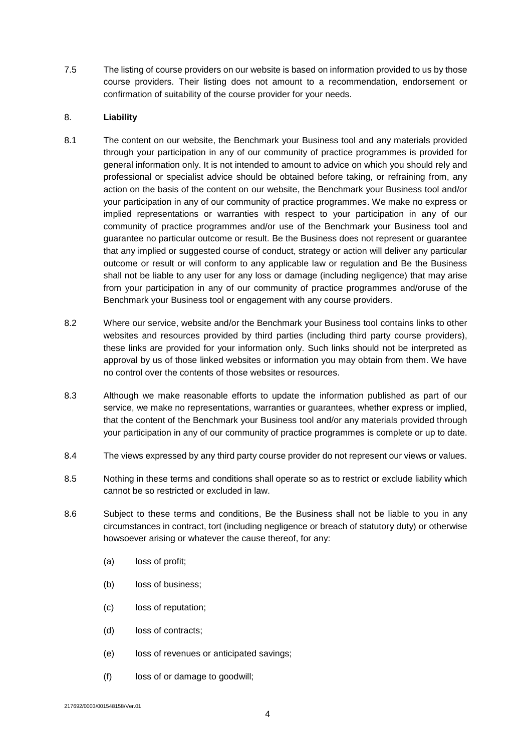7.5 The listing of course providers on our website is based on information provided to us by those course providers. Their listing does not amount to a recommendation, endorsement or confirmation of suitability of the course provider for your needs.

## 8. **Liability**

- 8.1 The content on our website, the Benchmark your Business tool and any materials provided through your participation in any of our community of practice programmes is provided for general information only. It is not intended to amount to advice on which you should rely and professional or specialist advice should be obtained before taking, or refraining from, any action on the basis of the content on our website, the Benchmark your Business tool and/or your participation in any of our community of practice programmes. We make no express or implied representations or warranties with respect to your participation in any of our community of practice programmes and/or use of the Benchmark your Business tool and guarantee no particular outcome or result. Be the Business does not represent or guarantee that any implied or suggested course of conduct, strategy or action will deliver any particular outcome or result or will conform to any applicable law or regulation and Be the Business shall not be liable to any user for any loss or damage (including negligence) that may arise from your participation in any of our community of practice programmes and/oruse of the Benchmark your Business tool or engagement with any course providers.
- 8.2 Where our service, website and/or the Benchmark your Business tool contains links to other websites and resources provided by third parties (including third party course providers), these links are provided for your information only. Such links should not be interpreted as approval by us of those linked websites or information you may obtain from them. We have no control over the contents of those websites or resources.
- 8.3 Although we make reasonable efforts to update the information published as part of our service, we make no representations, warranties or guarantees, whether express or implied, that the content of the Benchmark your Business tool and/or any materials provided through your participation in any of our community of practice programmes is complete or up to date.
- 8.4 The views expressed by any third party course provider do not represent our views or values.
- 8.5 Nothing in these terms and conditions shall operate so as to restrict or exclude liability which cannot be so restricted or excluded in law.
- 8.6 Subject to these terms and conditions, Be the Business shall not be liable to you in any circumstances in contract, tort (including negligence or breach of statutory duty) or otherwise howsoever arising or whatever the cause thereof, for any:
	- (a) loss of profit;
	- (b) loss of business;
	- (c) loss of reputation;
	- (d) loss of contracts;
	- (e) loss of revenues or anticipated savings;
	- (f) loss of or damage to goodwill;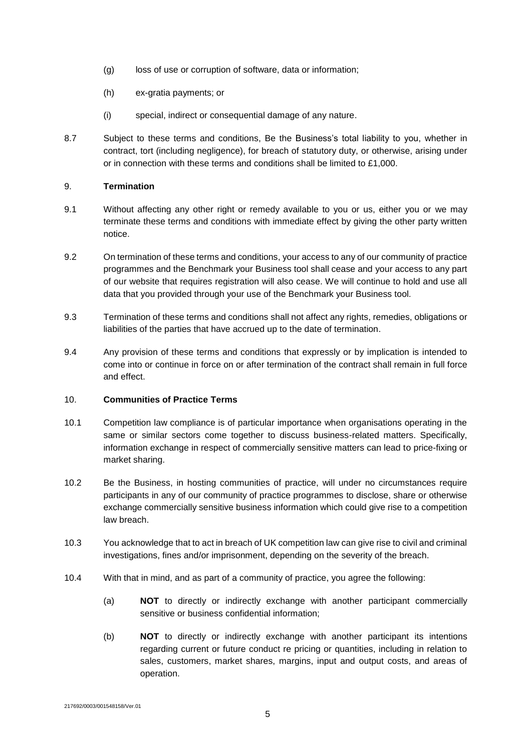- (g) loss of use or corruption of software, data or information;
- (h) ex-gratia payments; or
- (i) special, indirect or consequential damage of any nature.
- 8.7 Subject to these terms and conditions, Be the Business's total liability to you, whether in contract, tort (including negligence), for breach of statutory duty, or otherwise, arising under or in connection with these terms and conditions shall be limited to £1,000.

## 9. **Termination**

- 9.1 Without affecting any other right or remedy available to you or us, either you or we may terminate these terms and conditions with immediate effect by giving the other party written notice.
- 9.2 On termination of these terms and conditions, your access to any of our community of practice programmes and the Benchmark your Business tool shall cease and your access to any part of our website that requires registration will also cease. We will continue to hold and use all data that you provided through your use of the Benchmark your Business tool.
- 9.3 Termination of these terms and conditions shall not affect any rights, remedies, obligations or liabilities of the parties that have accrued up to the date of termination.
- 9.4 Any provision of these terms and conditions that expressly or by implication is intended to come into or continue in force on or after termination of the contract shall remain in full force and effect.

#### 10. **Communities of Practice Terms**

- 10.1 Competition law compliance is of particular importance when organisations operating in the same or similar sectors come together to discuss business-related matters. Specifically, information exchange in respect of commercially sensitive matters can lead to price-fixing or market sharing.
- 10.2 Be the Business, in hosting communities of practice, will under no circumstances require participants in any of our community of practice programmes to disclose, share or otherwise exchange commercially sensitive business information which could give rise to a competition law breach.
- 10.3 You acknowledge that to act in breach of UK competition law can give rise to civil and criminal investigations, fines and/or imprisonment, depending on the severity of the breach.
- 10.4 With that in mind, and as part of a community of practice, you agree the following:
	- (a) **NOT** to directly or indirectly exchange with another participant commercially sensitive or business confidential information;
	- (b) **NOT** to directly or indirectly exchange with another participant its intentions regarding current or future conduct re pricing or quantities, including in relation to sales, customers, market shares, margins, input and output costs, and areas of operation.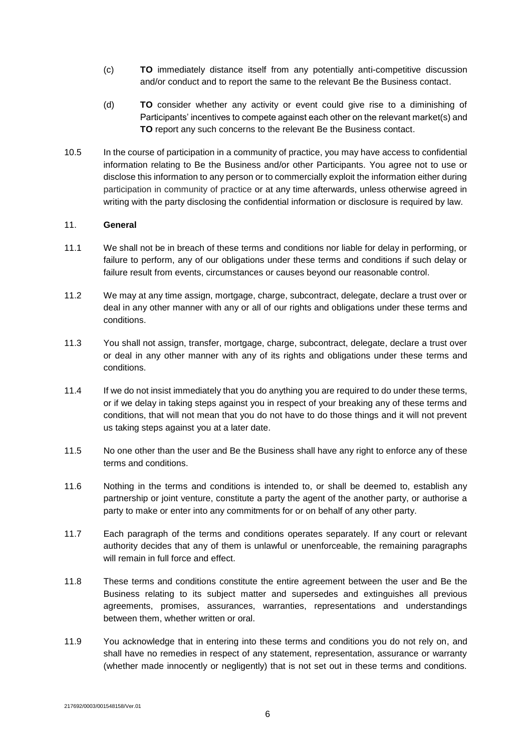- (c) **TO** immediately distance itself from any potentially anti-competitive discussion and/or conduct and to report the same to the relevant Be the Business contact.
- (d) **TO** consider whether any activity or event could give rise to a diminishing of Participants' incentives to compete against each other on the relevant market(s) and **TO** report any such concerns to the relevant Be the Business contact.
- 10.5 In the course of participation in a community of practice, you may have access to confidential information relating to Be the Business and/or other Participants. You agree not to use or disclose this information to any person or to commercially exploit the information either during participation in community of practice or at any time afterwards, unless otherwise agreed in writing with the party disclosing the confidential information or disclosure is required by law.

## 11. **General**

- 11.1 We shall not be in breach of these terms and conditions nor liable for delay in performing, or failure to perform, any of our obligations under these terms and conditions if such delay or failure result from events, circumstances or causes beyond our reasonable control.
- 11.2 We may at any time assign, mortgage, charge, subcontract, delegate, declare a trust over or deal in any other manner with any or all of our rights and obligations under these terms and conditions.
- 11.3 You shall not assign, transfer, mortgage, charge, subcontract, delegate, declare a trust over or deal in any other manner with any of its rights and obligations under these terms and conditions.
- 11.4 If we do not insist immediately that you do anything you are required to do under these terms, or if we delay in taking steps against you in respect of your breaking any of these terms and conditions, that will not mean that you do not have to do those things and it will not prevent us taking steps against you at a later date.
- 11.5 No one other than the user and Be the Business shall have any right to enforce any of these terms and conditions.
- 11.6 Nothing in the terms and conditions is intended to, or shall be deemed to, establish any partnership or joint venture, constitute a party the agent of the another party, or authorise a party to make or enter into any commitments for or on behalf of any other party.
- 11.7 Each paragraph of the terms and conditions operates separately. If any court or relevant authority decides that any of them is unlawful or unenforceable, the remaining paragraphs will remain in full force and effect.
- 11.8 These terms and conditions constitute the entire agreement between the user and Be the Business relating to its subject matter and supersedes and extinguishes all previous agreements, promises, assurances, warranties, representations and understandings between them, whether written or oral.
- 11.9 You acknowledge that in entering into these terms and conditions you do not rely on, and shall have no remedies in respect of any statement, representation, assurance or warranty (whether made innocently or negligently) that is not set out in these terms and conditions.